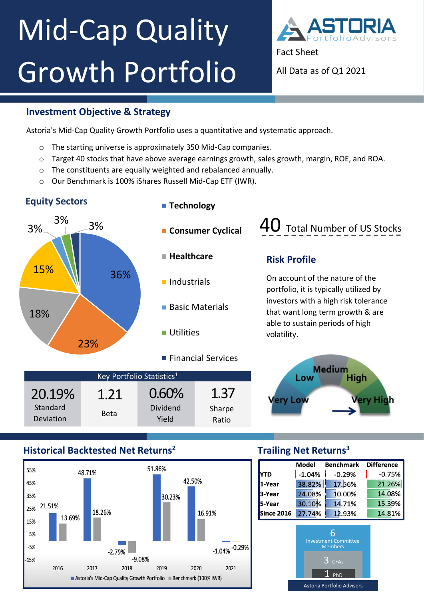# ` Mid-Cap Quality Growth Portfolio



Fact Sheet

All Data as of Q1 2021

#### **Investment Objective & Strategy**

Astoria's Mid-Cap Quality Growth Portfolio uses a quantitative and systematic approach.

- o The starting universe is approximately 350 Mid-Cap companies.
- o Target 40 stocks that have above average earnings growth, sales growth, margin, ROE, and ROA.
- o The constituents are equally weighted and rebalanced annually.
- o Our Benchmark is 100% iShares Russell Mid-Cap ETF (IWR).



### **Historical Backtested Net Returns<sup>2</sup>**



## **Trailing Net Returns<sup>3</sup>**

|                                   | Model                                                                               | <b>Benchmark</b> | <b>Difference</b> |
|-----------------------------------|-------------------------------------------------------------------------------------|------------------|-------------------|
| YTD                               | $-1.04%$                                                                            | $-0.29%$         | $-0.75%$          |
| 1-Year                            | 38.82%                                                                              | 17.56%           | 21.26%            |
| 3-Year                            | 24.08%                                                                              | 10.00%           | 14.08%            |
| 5-Year                            | 30.10%                                                                              | 14.71%           | 15.39%            |
| <b>Since 2016</b>                 | 27.74%                                                                              | 12.93%           | 14.81%            |
|                                   | 6<br><b>Investment Committee</b><br><b>Members</b><br><b>CFA<sub>s</sub></b><br>PhD |                  |                   |
| <b>Astoria Portfolio Advisors</b> |                                                                                     |                  |                   |